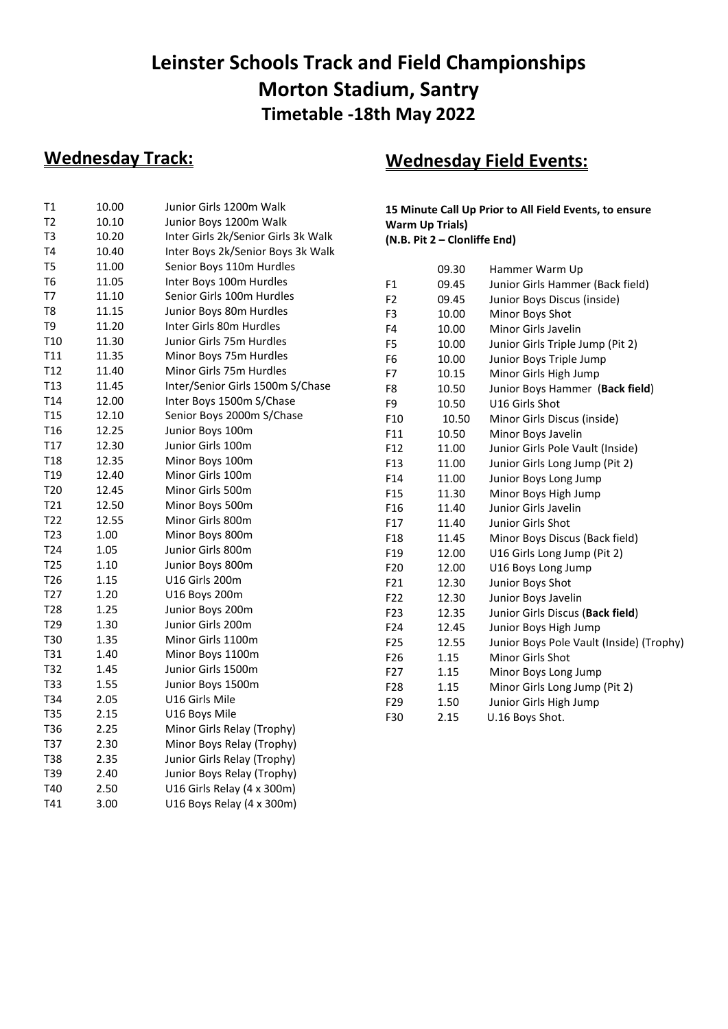## **Leinster Schools Track and Field Championships Morton Stadium, Santry Timetable -18th May 2022**

### **Wednesday Track:**

| Τ1              | 10.00 | Junior Girls 1200m Walk             |
|-----------------|-------|-------------------------------------|
| T <sub>2</sub>  | 10.10 | Junior Boys 1200m Walk              |
| T <sub>3</sub>  | 10.20 | Inter Girls 2k/Senior Girls 3k Walk |
| T <sub>4</sub>  | 10.40 | Inter Boys 2k/Senior Boys 3k Walk   |
| T <sub>5</sub>  | 11.00 | Senior Boys 110m Hurdles            |
| T6              | 11.05 | Inter Boys 100m Hurdles             |
| T7              | 11.10 | Senior Girls 100m Hurdles           |
| T8              | 11.15 | Junior Boys 80m Hurdles             |
| T9              | 11.20 | Inter Girls 80m Hurdles             |
| T <sub>10</sub> | 11.30 | Junior Girls 75m Hurdles            |
| T <sub>11</sub> | 11.35 | Minor Boys 75m Hurdles              |
| T <sub>12</sub> | 11.40 | Minor Girls 75m Hurdles             |
| T <sub>13</sub> | 11.45 | Inter/Senior Girls 1500m S/Chase    |
| T14             | 12.00 | Inter Boys 1500m S/Chase            |
| T <sub>15</sub> | 12.10 | Senior Boys 2000m S/Chase           |
| T <sub>16</sub> | 12.25 | Junior Boys 100m                    |
| T17             | 12.30 | Junior Girls 100m                   |
| T <sub>18</sub> | 12.35 | Minor Boys 100m                     |
| T <sub>19</sub> | 12.40 | Minor Girls 100m                    |
| T <sub>20</sub> | 12.45 | Minor Girls 500m                    |
| T21             | 12.50 | Minor Boys 500m                     |
| T22             | 12.55 | Minor Girls 800m                    |
| T <sub>23</sub> | 1.00  | Minor Boys 800m                     |
| T24             | 1.05  | Junior Girls 800m                   |
| T <sub>25</sub> | 1.10  | Junior Boys 800m                    |
| T <sub>26</sub> | 1.15  | U16 Girls 200m                      |
| T <sub>27</sub> | 1.20  | U16 Boys 200m                       |
| T <sub>28</sub> | 1.25  | Junior Boys 200m                    |
| T29             | 1.30  | Junior Girls 200m                   |
| T30             | 1.35  | Minor Girls 1100m                   |
| T31             | 1.40  | Minor Boys 1100m                    |
| T32             | 1.45  | Junior Girls 1500m                  |
| T33             | 1.55  | Junior Boys 1500m                   |
| T34             | 2.05  | U16 Girls Mile                      |
| <b>T35</b>      | 2.15  | U16 Boys Mile                       |
| T36             | 2.25  | Minor Girls Relay (Trophy)          |
| T37             | 2.30  | Minor Boys Relay (Trophy)           |
| <b>T38</b>      | 2.35  | Junior Girls Relay (Trophy)         |
| T39             | 2.40  | Junior Boys Relay (Trophy)          |
| T40             | 2.50  | U16 Girls Relay (4 x 300m)          |
| T41             | 3.00  | U16 Boys Relay (4 x 300m)           |

## **Wednesday Field Events:**

**15 Minute Call Up Prior to All Field Events, to ensure Warm Up Trials) (N.B. Pit 2 – Clonliffe End)**

|                 | 09.30 | Hammer Warm Up                           |
|-----------------|-------|------------------------------------------|
| F1              | 09.45 | Junior Girls Hammer (Back field)         |
| F <sub>2</sub>  | 09.45 | Junior Boys Discus (inside)              |
| F3              | 10.00 | Minor Boys Shot                          |
| F4              | 10.00 | Minor Girls Javelin                      |
| F5              | 10.00 | Junior Girls Triple Jump (Pit 2)         |
| F <sub>6</sub>  | 10.00 | Junior Boys Triple Jump                  |
| F7              | 10.15 | Minor Girls High Jump                    |
| F8              | 10.50 | Junior Boys Hammer (Back field)          |
| F9              | 10.50 | U16 Girls Shot                           |
| F10             | 10.50 | Minor Girls Discus (inside)              |
| F11             | 10.50 | Minor Boys Javelin                       |
| F12             | 11.00 | Junior Girls Pole Vault (Inside)         |
| F13             | 11.00 | Junior Girls Long Jump (Pit 2)           |
| F14             | 11.00 | Junior Boys Long Jump                    |
| F15             | 11.30 | Minor Boys High Jump                     |
| F16             | 11.40 | Junior Girls Javelin                     |
| F17             | 11.40 | Junior Girls Shot                        |
| F18             | 11.45 | Minor Boys Discus (Back field)           |
| F19             | 12.00 | U16 Girls Long Jump (Pit 2)              |
| F <sub>20</sub> | 12.00 | U16 Boys Long Jump                       |
| F21             | 12.30 | Junior Boys Shot                         |
| F22             | 12.30 | Junior Boys Javelin                      |
| F23             | 12.35 | Junior Girls Discus (Back field)         |
| F24             | 12.45 | Junior Boys High Jump                    |
| F <sub>25</sub> | 12.55 | Junior Boys Pole Vault (Inside) (Trophy) |
| F <sub>26</sub> | 1.15  | Minor Girls Shot                         |
| F27             | 1.15  | Minor Boys Long Jump                     |
| F <sub>28</sub> | 1.15  | Minor Girls Long Jump (Pit 2)            |
| F <sub>29</sub> | 1.50  | Junior Girls High Jump                   |
| F30             | 2.15  | U.16 Boys Shot.                          |